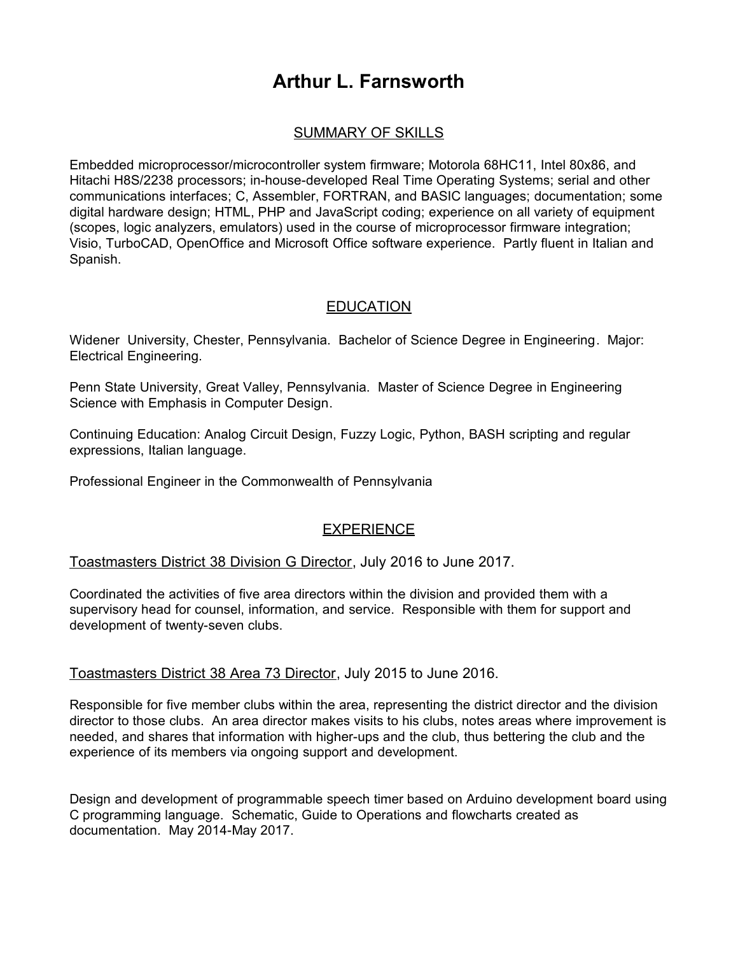# **Arthur L. Farnsworth**

## SUMMARY OF SKILLS

Embedded microprocessor/microcontroller system firmware; Motorola 68HC11, Intel 80x86, and Hitachi H8S/2238 processors; in-house-developed Real Time Operating Systems; serial and other communications interfaces; C, Assembler, FORTRAN, and BASIC languages; documentation; some digital hardware design; HTML, PHP and JavaScript coding; experience on all variety of equipment (scopes, logic analyzers, emulators) used in the course of microprocessor firmware integration; Visio, TurboCAD, OpenOffice and Microsoft Office software experience. Partly fluent in Italian and Spanish.

### **EDUCATION**

Widener University, Chester, Pennsylvania. Bachelor of Science Degree in Engineering. Major: Electrical Engineering.

Penn State University, Great Valley, Pennsylvania. Master of Science Degree in Engineering Science with Emphasis in Computer Design.

Continuing Education: Analog Circuit Design, Fuzzy Logic, Python, BASH scripting and regular expressions, Italian language.

Professional Engineer in the Commonwealth of Pennsylvania

## **EXPERIENCE**

#### Toastmasters District 38 Division G Director, July 2016 to June 2017.

Coordinated the activities of five area directors within the division and provided them with a supervisory head for counsel, information, and service. Responsible with them for support and development of twenty-seven clubs.

#### Toastmasters District 38 Area 73 Director, July 2015 to June 2016.

Responsible for five member clubs within the area, representing the district director and the division director to those clubs. An area director makes visits to his clubs, notes areas where improvement is needed, and shares that information with higher-ups and the club, thus bettering the club and the experience of its members via ongoing support and development.

Design and development of programmable speech timer based on Arduino development board using C programming language. Schematic, Guide to Operations and flowcharts created as documentation. May 2014-May 2017.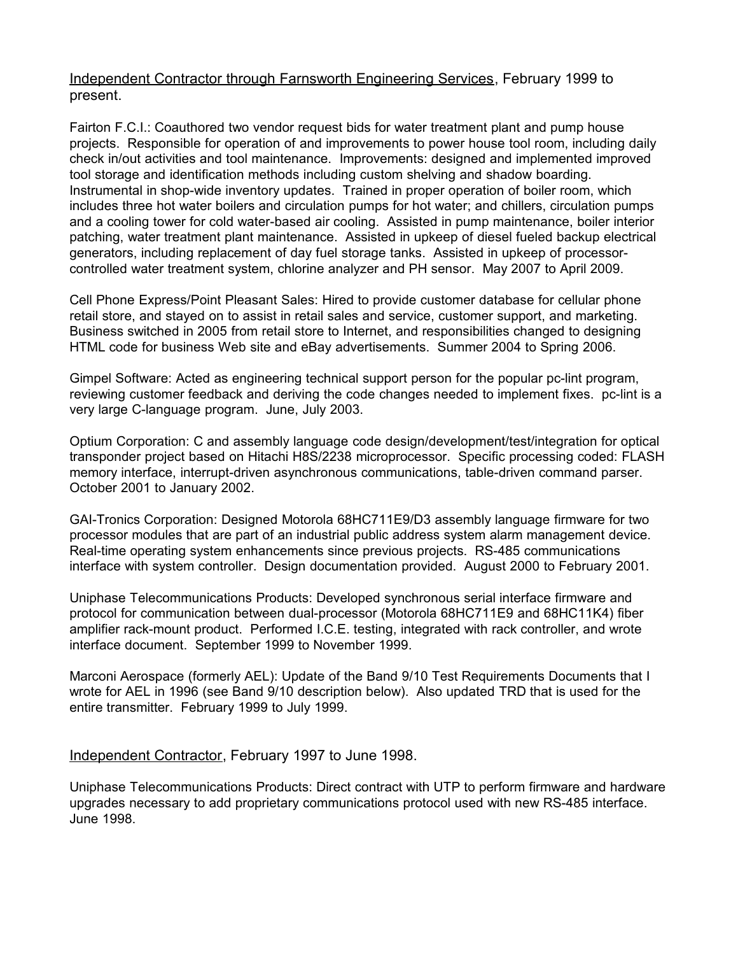Independent Contractor through Farnsworth Engineering Services, February 1999 to present.

Fairton F.C.I.: Coauthored two vendor request bids for water treatment plant and pump house projects. Responsible for operation of and improvements to power house tool room, including daily check in/out activities and tool maintenance. Improvements: designed and implemented improved tool storage and identification methods including custom shelving and shadow boarding. Instrumental in shop-wide inventory updates. Trained in proper operation of boiler room, which includes three hot water boilers and circulation pumps for hot water; and chillers, circulation pumps and a cooling tower for cold water-based air cooling. Assisted in pump maintenance, boiler interior patching, water treatment plant maintenance. Assisted in upkeep of diesel fueled backup electrical generators, including replacement of day fuel storage tanks. Assisted in upkeep of processorcontrolled water treatment system, chlorine analyzer and PH sensor. May 2007 to April 2009.

Cell Phone Express/Point Pleasant Sales: Hired to provide customer database for cellular phone retail store, and stayed on to assist in retail sales and service, customer support, and marketing. Business switched in 2005 from retail store to Internet, and responsibilities changed to designing HTML code for business Web site and eBay advertisements. Summer 2004 to Spring 2006.

Gimpel Software: Acted as engineering technical support person for the popular pc-lint program, reviewing customer feedback and deriving the code changes needed to implement fixes. pc-lint is a very large C-language program. June, July 2003.

Optium Corporation: C and assembly language code design/development/test/integration for optical transponder project based on Hitachi H8S/2238 microprocessor. Specific processing coded: FLASH memory interface, interrupt-driven asynchronous communications, table-driven command parser. October 2001 to January 2002.

GAI-Tronics Corporation: Designed Motorola 68HC711E9/D3 assembly language firmware for two processor modules that are part of an industrial public address system alarm management device. Real-time operating system enhancements since previous projects. RS-485 communications interface with system controller. Design documentation provided. August 2000 to February 2001.

Uniphase Telecommunications Products: Developed synchronous serial interface firmware and protocol for communication between dual-processor (Motorola 68HC711E9 and 68HC11K4) fiber amplifier rack-mount product. Performed I.C.E. testing, integrated with rack controller, and wrote interface document. September 1999 to November 1999.

Marconi Aerospace (formerly AEL): Update of the Band 9/10 Test Requirements Documents that I wrote for AEL in 1996 (see Band 9/10 description below). Also updated TRD that is used for the entire transmitter. February 1999 to July 1999.

Independent Contractor, February 1997 to June 1998.

Uniphase Telecommunications Products: Direct contract with UTP to perform firmware and hardware upgrades necessary to add proprietary communications protocol used with new RS-485 interface. June 1998.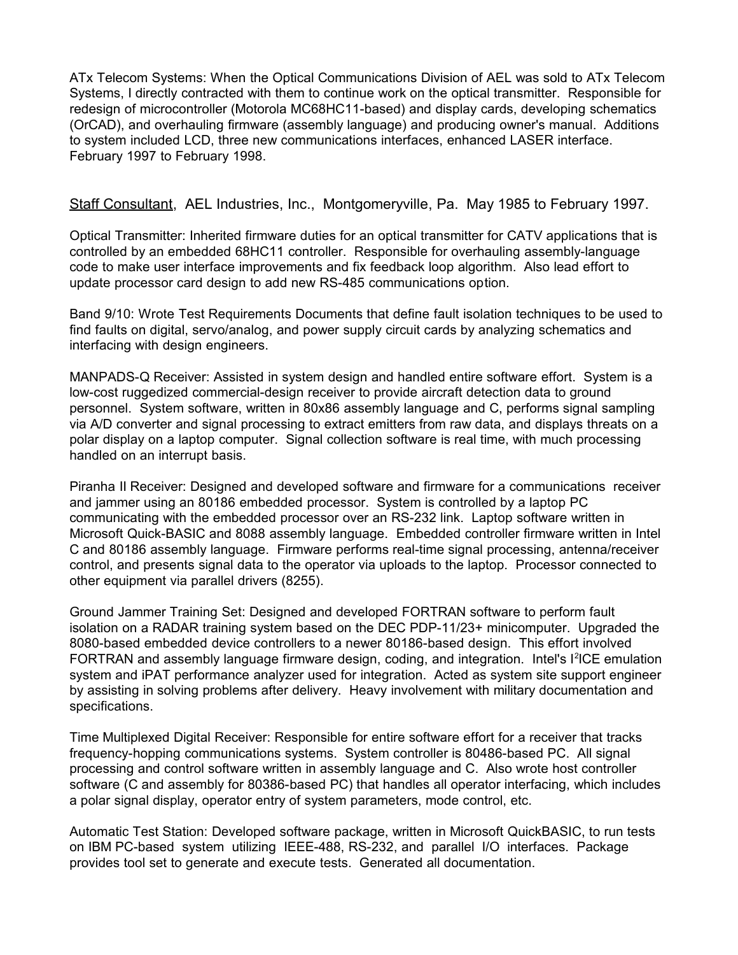ATx Telecom Systems: When the Optical Communications Division of AEL was sold to ATx Telecom Systems, I directly contracted with them to continue work on the optical transmitter. Responsible for redesign of microcontroller (Motorola MC68HC11-based) and display cards, developing schematics (OrCAD), and overhauling firmware (assembly language) and producing owner's manual. Additions to system included LCD, three new communications interfaces, enhanced LASER interface. February 1997 to February 1998.

Staff Consultant, AEL Industries, Inc., Montgomeryville, Pa. May 1985 to February 1997.

Optical Transmitter: Inherited firmware duties for an optical transmitter for CATV applications that is controlled by an embedded 68HC11 controller. Responsible for overhauling assembly-language code to make user interface improvements and fix feedback loop algorithm. Also lead effort to update processor card design to add new RS-485 communications option.

Band 9/10: Wrote Test Requirements Documents that define fault isolation techniques to be used to find faults on digital, servo/analog, and power supply circuit cards by analyzing schematics and interfacing with design engineers.

MANPADS-Q Receiver: Assisted in system design and handled entire software effort. System is a low-cost ruggedized commercial-design receiver to provide aircraft detection data to ground personnel. System software, written in 80x86 assembly language and C, performs signal sampling via A/D converter and signal processing to extract emitters from raw data, and displays threats on a polar display on a laptop computer. Signal collection software is real time, with much processing handled on an interrupt basis.

Piranha II Receiver: Designed and developed software and firmware for a communications receiver and jammer using an 80186 embedded processor. System is controlled by a laptop PC communicating with the embedded processor over an RS-232 link. Laptop software written in Microsoft Quick-BASIC and 8088 assembly language. Embedded controller firmware written in Intel C and 80186 assembly language. Firmware performs real-time signal processing, antenna/receiver control, and presents signal data to the operator via uploads to the laptop. Processor connected to other equipment via parallel drivers (8255).

Ground Jammer Training Set: Designed and developed FORTRAN software to perform fault isolation on a RADAR training system based on the DEC PDP-11/23+ minicomputer. Upgraded the 8080-based embedded device controllers to a newer 80186-based design. This effort involved FORTRAN and assembly language firmware design, coding, and integration. Intel's I<sup>2</sup>ICE emulation system and iPAT performance analyzer used for integration. Acted as system site support engineer by assisting in solving problems after delivery. Heavy involvement with military documentation and specifications.

Time Multiplexed Digital Receiver: Responsible for entire software effort for a receiver that tracks frequency-hopping communications systems. System controller is 80486-based PC. All signal processing and control software written in assembly language and C. Also wrote host controller software (C and assembly for 80386-based PC) that handles all operator interfacing, which includes a polar signal display, operator entry of system parameters, mode control, etc.

Automatic Test Station: Developed software package, written in Microsoft QuickBASIC, to run tests on IBM PC-based system utilizing IEEE-488, RS-232, and parallel I/O interfaces. Package provides tool set to generate and execute tests. Generated all documentation.